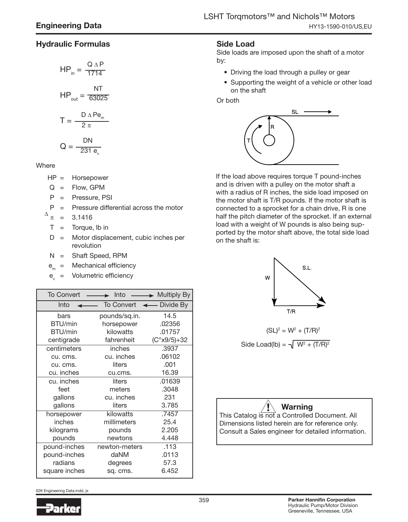## Hydraulic Formulas

$$
HP_{in} = \frac{Q \Delta P}{1714}
$$

$$
HP_{\text{out}} = \frac{NT}{63025}
$$

$$
T = \frac{D \triangle Pe_m}{2 \pi}
$$

$$
Q = \frac{DN}{231 e_v}
$$

**Where** 

HP = Horsepower

 $Q =$  Flow, GPM

P = Pressure, PSI

 $P =$  Pressure differential across the motor

 $\pi$  = 3.1416 ∆

$$
T =
$$
 Torque, lb in

D = Motor displacement, cubic inches per revolution

N = Shaft Speed, RPM

 $e_m =$  Mechanical efficiency

 $e_{y}$  = Volumetric efficiency

| To Convert    |                                   | $\rightarrow$ Into $\rightarrow$ Multiply By |
|---------------|-----------------------------------|----------------------------------------------|
| Into          | To Convert $\leftarrow$ Divide By |                                              |
| bars          | pounds/sq.in.                     | 14.5                                         |
| BTU/min       | horsepower                        | .02356                                       |
| BTU/min       | kilowatts                         | .01757                                       |
| centigrade    | fahrenheit                        | $(C°x9/5)+32$                                |
| centimeters   | inches                            | .3937                                        |
| cu. cms.      | cu. inches                        | .06102                                       |
| cu. cms.      | liters                            | .001                                         |
| cu. inches    | cu.cms.                           | 16.39                                        |
| cu. inches    | liters                            | .01639                                       |
| feet          | meters                            | .3048                                        |
| gallons       | cu. inches                        | 231                                          |
| gallons       | liters                            | 3.785                                        |
| horsepower    | kilowatts                         | .7457                                        |
| inches        | millimeters                       | 25.4                                         |
| kilograms     | pounds                            | 2.205                                        |
| pounds        | newtons                           | 4.448                                        |
| pound-inches  | newton-meters                     | .113                                         |
| pound-inches  | daNM                              | .0113                                        |
| radians       | degrees                           | 57.3                                         |
| square inches | sq. cms.                          | 6.452                                        |

026 Engineering Data.indd, js



## Side Load

Side loads are imposed upon the shaft of a motor by:

- Driving the load through a pulley or gear
- Supporting the weight of a vehicle or other load on the shaft

Or both



If the load above requires torque T pound-inches and is driven with a pulley on the motor shaft a with a radius of R inches, the side load imposed on the motor shaft is T/R pounds. If the motor shaft is connected to a sprocket for a chain drive, R is one half the pitch diameter of the sprocket. If an external load with a weight of W pounds is also being supported by the motor shaft above, the total side load on the shaft is:



$$
(SL)^{2} = W^{2} + (T/R)^{2}
$$
  
Side Load(lb) =  $\sqrt{W^{2} + (T/R)^{2}}$ 

# Warning

This Catalog is not a Controlled Document. All Dimensions listed herein are for reference only. Consult a Sales engineer for detailed information.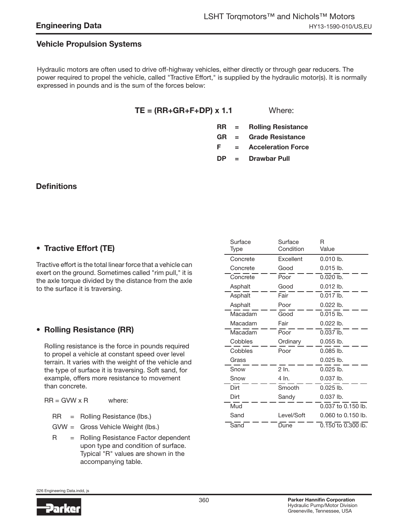#### Engineering Data

#### Vehicle Propulsion Systems

Hydraulic motors are often used to drive off-highway vehicles, either directly or through gear reducers. The power required to propel the vehicle, called "Tractive Effort," is supplied by the hydraulic motor(s). It is normally expressed in pounds and is the sum of the forces below:

 $TE = (RR + GR + F + DP) \times 1.1$  Where:

- RR = Rolling Resistance
- GR = Grade Resistance

F = Acceleration Force

DP = Drawbar Pull

### **Definitions**

## • Tractive Effort (TE)

Tractive effort is the total linear force that a vehicle can exert on the ground. Sometimes called "rim pull," it is the axle torque divided by the distance from the axle to the surface it is traversing.

#### • Rolling Resistance (RR)

Rolling resistance is the force in pounds required to propel a vehicle at constant speed over level terrain. It varies with the weight of the vehicle and the type of surface it is traversing. Soft sand, for example, offers more resistance to movement than concrete.

 $RR = GWW \times R$  where:

RR = Rolling Resistance (lbs.)

GVW = Gross Vehicle Weight (lbs.)

R = Rolling Resistance Factor dependent upon type and condition of surface. Typical "R" values are shown in the accompanying table.

| Surface<br>Type | Surface<br>Condition | R<br>Value         |
|-----------------|----------------------|--------------------|
| Concrete        | <b>Fxcellent</b>     | $0.010$ lb.        |
| Concrete        | Good                 | $0.015$ lb.        |
| Concrete        | Poor                 | $0.020$ lb.        |
| Asphalt         | Good                 | $0.012$ lb.        |
| Asphalt         | Fair                 | $0.017$ lb.        |
| Asphalt         | Poor                 | $0.022$ lb.        |
| Macadam         | Good                 | $0.015$ lb.        |
| Macadam         | Fair                 | $0.022$ lb.        |
| Macadam         | Poor                 | $0.037$ lb.        |
| Cobbles         | Ordinary             | 0.055 lb.          |
| Cobbles         | Poor                 | $0.085$ lb.        |
| Grass           |                      | $0.025$ lb.        |
| Snow            | $2 \ln$              | $0.025$ lb.        |
| Snow            | 4 In.                | $0.037$ lb.        |
| Dirt            | Smooth               | $0.025$ lb.        |
| Dirt            | Sandy                | $0.037$ lb.        |
| Mud             |                      | 0.037 to 0.150 lb. |
| Sand            | Level/Soft           | 0.060 to 0.150 lb. |
| Sand            | Dune                 | 0.150 to 0.300 lb. |

026 Engineering Data.indd, js

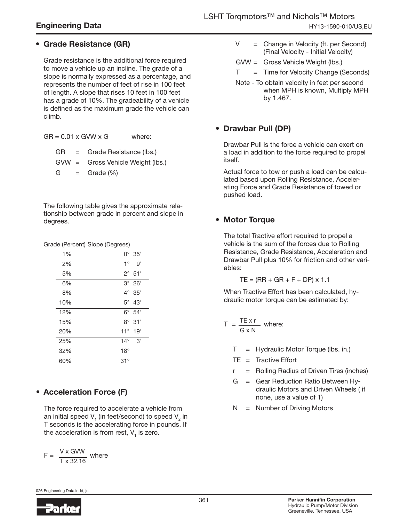# Engineering Data

# • Grade Resistance (GR)

Grade resistance is the additional force required to move a vehicle up an incline. The grade of a slope is normally expressed as a percentage, and represents the number of feet of rise in 100 feet of length. A slope that rises 10 feet in 100 feet has a grade of 10%. The gradeability of a vehicle is defined as the maximum grade the vehicle can climb.

 $GR = 0.01 \times GVM \times G$  where:

GR = Grade Resistance (lbs.)

- GVW = Gross Vehicle Weight (lbs.)
- $G =$  Grade  $(\%)$

The following table gives the approximate relationship between grade in percent and slope in degrees.

Grade (Percent) Slope (Degrees)

| 1%  |              | $0^{\circ}$ 35' |  |
|-----|--------------|-----------------|--|
| 2%  | $1^{\circ}$  | g'              |  |
| 5%  |              | $2^{\circ}$ 51' |  |
| 6%  |              | $3^\circ$ 26'   |  |
| 8%  | $4^{\circ}$  | 35'             |  |
| 10% |              | $5^\circ$ 43'   |  |
| 12% | $6^{\circ}$  | 54'             |  |
| 15% | $8^{\circ}$  | 31'             |  |
| 20% | $11^{\circ}$ | 19'             |  |
| 25% | $14^\circ$   | 3'              |  |
| 32% | $18^{\circ}$ |                 |  |
| 60% | $31^\circ$   |                 |  |

# • Acceleration Force (F)

The force required to accelerate a vehicle from an initial speed V<sub>1</sub> (in feet/second) to speed V<sub>2</sub> in T seconds is the accelerating force in pounds. If the acceleration is from rest, V $_{_{1}}$  is zero.

$$
F = \frac{V \times \text{GVW}}{T \times 32.16} \text{ where}
$$

 $V =$  Change in Velocity (ft. per Second) (Final Velocity - Initial Velocity)

GVW = Gross Vehicle Weight (lbs.)

- $T = T$  ime for Velocity Change (Seconds)
- Note To obtain velocity in feet per second when MPH is known, Multiply MPH by 1.467.

## • Drawbar Pull (DP)

Drawbar Pull is the force a vehicle can exert on a load in addition to the force required to propel itself.

Actual force to tow or push a load can be calculated based upon Rolling Resistance, Accelerating Force and Grade Resistance of towed or pushed load.

# • Motor Torque

The total Tractive effort required to propel a vehicle is the sum of the forces due to Rolling Resistance, Grade Resistance, Acceleration and Drawbar Pull plus 10% for friction and other variables:

$$
TE = (RR + GR + F + DP) \times 1.1
$$

When Tractive Effort has been calculated, hydraulic motor torque can be estimated by:

$$
T = \frac{TE \times r}{G \times N}
$$
 where:

T = Hydraulic Motor Torque (lbs. in.)

- $TE = Trace$
- r = Rolling Radius of Driven Tires (inches)
- G = Gear Reduction Ratio Between Hydraulic Motors and Driven Wheels ( if none, use a value of 1)
- N = Number of Driving Motors

026 Engineering Data.indd, js